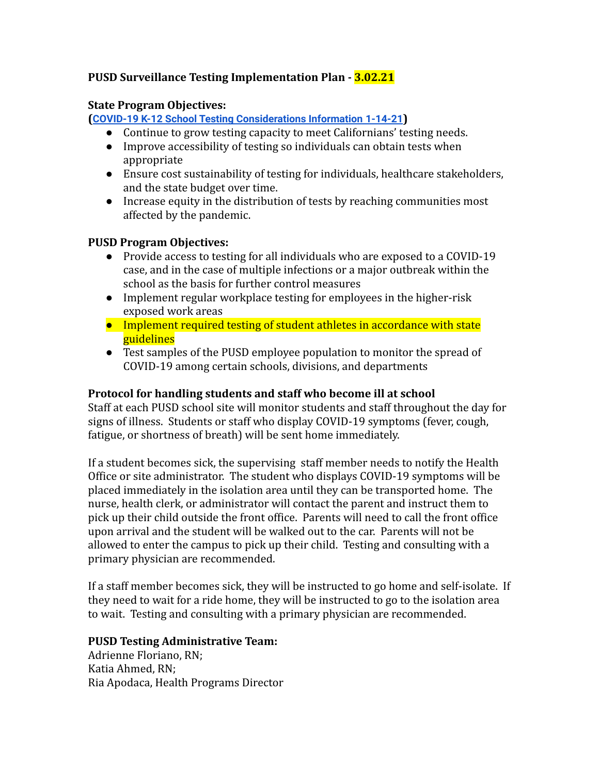# **PUSD Surveillance Testing Implementation Plan - 3.02.21**

#### **State Program Objectives:**

**([COVID-19 K-12 School Testing Considerations Information](https://www.cdph.ca.gov/Programs/CID/DCDC/CDPH%20Document%20Library/COVID-19/K12_School_Testing_Considerations_Information.pdf) 1-14-21)**

- Continue to grow testing capacity to meet Californians' testing needs.
- Improve accessibility of testing so individuals can obtain tests when appropriate
- Ensure cost sustainability of testing for individuals, healthcare stakeholders, and the state budget over time.
- Increase equity in the distribution of tests by reaching communities most affected by the pandemic.

#### **PUSD Program Objectives:**

- Provide access to testing for all individuals who are exposed to a COVID-19 case, and in the case of multiple infections or a major outbreak within the school as the basis for further control measures
- Implement regular workplace testing for employees in the higher-risk exposed work areas
- Implement required testing of student athletes in accordance with state guidelines
- Test samples of the PUSD employee population to monitor the spread of COVID-19 among certain schools, divisions, and departments

## **Protocol for handling students and staff who become ill at school**

Staff at each PUSD school site will monitor students and staff throughout the day for signs of illness. Students or staff who display COVID-19 symptoms (fever, cough, fatigue, or shortness of breath) will be sent home immediately.

If a student becomes sick, the supervising staff member needs to notify the Health Office or site administrator. The student who displays COVID-19 symptoms will be placed immediately in the isolation area until they can be transported home. The nurse, health clerk, or administrator will contact the parent and instruct them to pick up their child outside the front office. Parents will need to call the front office upon arrival and the student will be walked out to the car. Parents will not be allowed to enter the campus to pick up their child. Testing and consulting with a primary physician are recommended.

If a staff member becomes sick, they will be instructed to go home and self-isolate. If they need to wait for a ride home, they will be instructed to go to the isolation area to wait. Testing and consulting with a primary physician are recommended.

## **PUSD Testing Administrative Team:**

Adrienne Floriano, RN; Katia Ahmed, RN; Ria Apodaca, Health Programs Director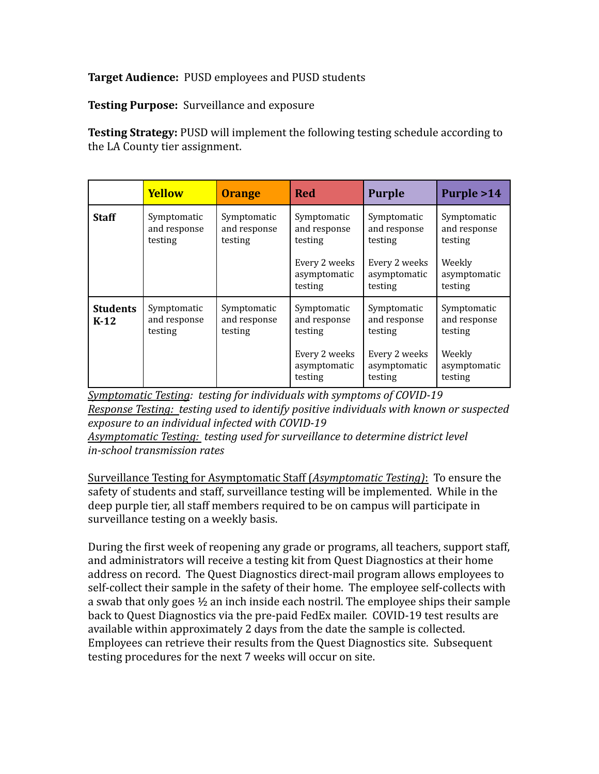#### **Target Audience:** PUSD employees and PUSD students

**Testing Purpose:** Surveillance and exposure

**Testing Strategy:** PUSD will implement the following testing schedule according to the LA County tier assignment.

|                           | <b>Yellow</b>                          | <b>Orange</b>                          | <b>Red</b>                                                                         | <b>Purple</b>                                                                      | Purple >14                                                                  |
|---------------------------|----------------------------------------|----------------------------------------|------------------------------------------------------------------------------------|------------------------------------------------------------------------------------|-----------------------------------------------------------------------------|
| <b>Staff</b>              | Symptomatic<br>and response<br>testing | Symptomatic<br>and response<br>testing | Symptomatic<br>and response<br>testing<br>Every 2 weeks<br>asymptomatic<br>testing | Symptomatic<br>and response<br>testing<br>Every 2 weeks<br>asymptomatic<br>testing | Symptomatic<br>and response<br>testing<br>Weekly<br>asymptomatic<br>testing |
| <b>Students</b><br>$K-12$ | Symptomatic<br>and response<br>testing | Symptomatic<br>and response<br>testing | Symptomatic<br>and response<br>testing<br>Every 2 weeks<br>asymptomatic<br>testing | Symptomatic<br>and response<br>testing<br>Every 2 weeks<br>asymptomatic<br>testing | Symptomatic<br>and response<br>testing<br>Weekly<br>asymptomatic<br>testing |

*Symptomatic Testing: testing for individuals with symptoms of COVID-19 Response Testing: testing used to identify positive individuals with known or suspected exposure to an individual infected with COVID-19*

*Asymptomatic Testing: testing used for surveillance to determine district level in-school transmission rates*

Surveillance Testing for Asymptomatic Staff (*Asymptomatic Testing)*: To ensure the safety of students and staff, surveillance testing will be implemented. While in the deep purple tier, all staff members required to be on campus will participate in surveillance testing on a weekly basis.

During the first week of reopening any grade or programs, all teachers, support staff, and administrators will receive a testing kit from Quest Diagnostics at their home address on record. The Quest Diagnostics direct-mail program allows employees to self-collect their sample in the safety of their home. The employee self-collects with a swab that only goes ½ an inch inside each nostril. The employee ships their sample back to Quest Diagnostics via the pre-paid FedEx mailer. COVID-19 test results are available within approximately 2 days from the date the sample is collected. Employees can retrieve their results from the Quest Diagnostics site. Subsequent testing procedures for the next 7 weeks will occur on site.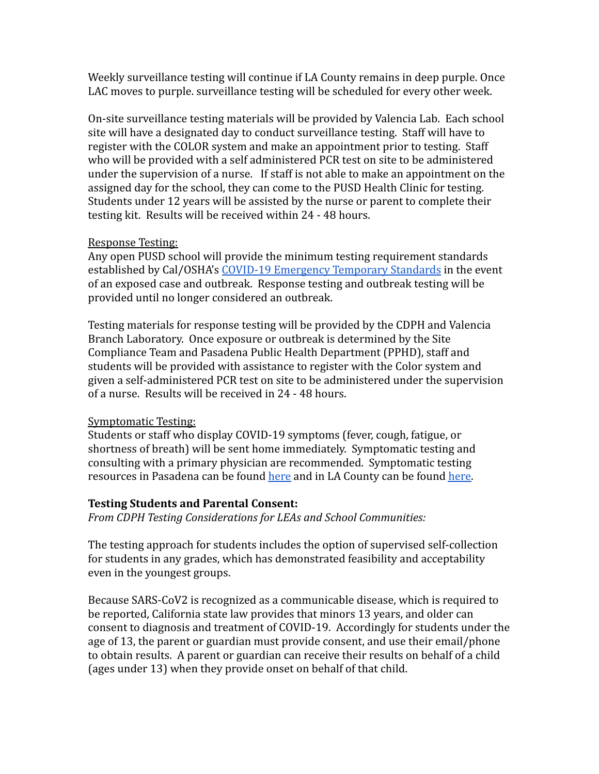Weekly surveillance testing will continue if LA County remains in deep purple. Once LAC moves to purple. surveillance testing will be scheduled for every other week.

On-site surveillance testing materials will be provided by Valencia Lab. Each school site will have a designated day to conduct surveillance testing. Staff will have to register with the COLOR system and make an appointment prior to testing. Staff who will be provided with a self administered PCR test on site to be administered under the supervision of a nurse. If staff is not able to make an appointment on the assigned day for the school, they can come to the PUSD Health Clinic for testing. Students under 12 years will be assisted by the nurse or parent to complete their testing kit. Results will be received within 24 - 48 hours.

#### Response Testing:

Any open PUSD school will provide the minimum testing requirement standards established by Cal/OSHA's [COVID-19 Emergency Temporary](https://www.dir.ca.gov/dosh/coronavirus/COVID19FAQs.html#testing) Standards in the event of an exposed case and outbreak. Response testing and outbreak testing will be provided until no longer considered an outbreak.

Testing materials for response testing will be provided by the CDPH and Valencia Branch Laboratory. Once exposure or outbreak is determined by the Site Compliance Team and Pasadena Public Health Department (PPHD), staff and students will be provided with assistance to register with the Color system and given a self-administered PCR test on site to be administered under the supervision of a nurse. Results will be received in 24 - 48 hours.

## Symptomatic Testing:

Students or staff who display COVID-19 symptoms (fever, cough, fatigue, or shortness of breath) will be sent home immediately. Symptomatic testing and consulting with a primary physician are recommended. Symptomatic testing resources in Pasadena can be found [here](https://www.cityofpasadena.net/public-health/covid-19-testing-info/) and in LA County can be found [here.](https://covid19.lacounty.gov/testing/)

## **Testing Students and Parental Consent:**

*From CDPH Testing Considerations for LEAs and School Communities:*

The testing approach for students includes the option of supervised self-collection for students in any grades, which has demonstrated feasibility and acceptability even in the youngest groups.

Because SARS-CoV2 is recognized as a communicable disease, which is required to be reported, California state law provides that minors 13 years, and older can consent to diagnosis and treatment of COVID-19. Accordingly for students under the age of 13, the parent or guardian must provide consent, and use their email/phone to obtain results. A parent or guardian can receive their results on behalf of a child (ages under 13) when they provide onset on behalf of that child.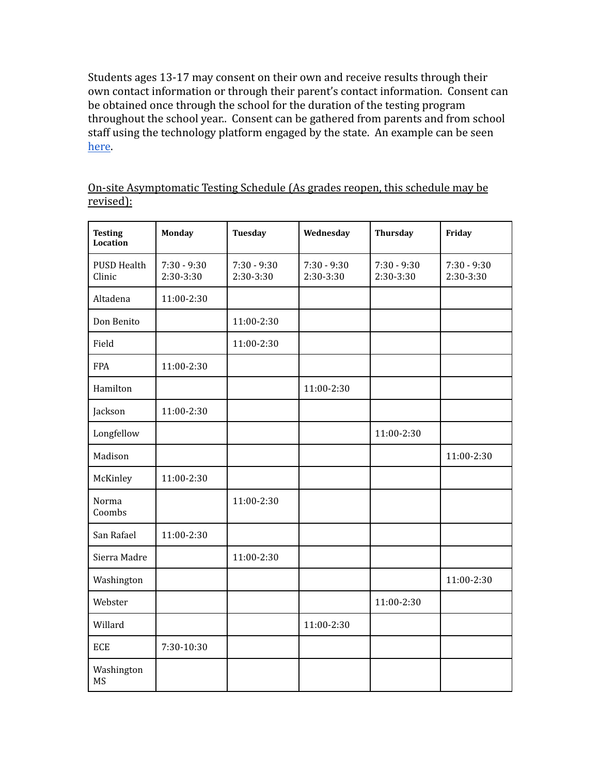Students ages 13-17 may consent on their own and receive results through their own contact information or through their parent's contact information. Consent can be obtained once through the school for the duration of the testing program throughout the school year.. Consent can be gathered from parents and from school staff using the technology platform engaged by the state. An example can be seen [here](https://www.schools.nyc.gov/docs/default-source/default-document-library/student-covid-19-testing-consent-form---september-27-2020).

| On-site Asymptomatic Testing Schedule (As grades reopen, this schedule may be |  |  |  |  |  |
|-------------------------------------------------------------------------------|--|--|--|--|--|
| <u>revised):</u>                                                              |  |  |  |  |  |

| <b>Testing</b><br><b>Location</b> | <b>Monday</b>              | <b>Tuesday</b>               | Wednesday                  | <b>Thursday</b>            | Friday                     |
|-----------------------------------|----------------------------|------------------------------|----------------------------|----------------------------|----------------------------|
| <b>PUSD Health</b><br>Clinic      | $7:30 - 9:30$<br>2:30-3:30 | $7:30 - 9:30$<br>$2:30-3:30$ | $7:30 - 9:30$<br>2:30-3:30 | $7:30 - 9:30$<br>2:30-3:30 | $7:30 - 9:30$<br>2:30-3:30 |
| Altadena                          | 11:00-2:30                 |                              |                            |                            |                            |
| Don Benito                        |                            | 11:00-2:30                   |                            |                            |                            |
| Field                             |                            | 11:00-2:30                   |                            |                            |                            |
| <b>FPA</b>                        | 11:00-2:30                 |                              |                            |                            |                            |
| Hamilton                          |                            |                              | 11:00-2:30                 |                            |                            |
| Jackson                           | 11:00-2:30                 |                              |                            |                            |                            |
| Longfellow                        |                            |                              |                            | 11:00-2:30                 |                            |
| Madison                           |                            |                              |                            |                            | 11:00-2:30                 |
| McKinley                          | 11:00-2:30                 |                              |                            |                            |                            |
| Norma<br>Coombs                   |                            | 11:00-2:30                   |                            |                            |                            |
| San Rafael                        | 11:00-2:30                 |                              |                            |                            |                            |
| Sierra Madre                      |                            | 11:00-2:30                   |                            |                            |                            |
| Washington                        |                            |                              |                            |                            | 11:00-2:30                 |
| Webster                           |                            |                              |                            | 11:00-2:30                 |                            |
| Willard                           |                            |                              | 11:00-2:30                 |                            |                            |
| <b>ECE</b>                        | 7:30-10:30                 |                              |                            |                            |                            |
| Washington<br>MS                  |                            |                              |                            |                            |                            |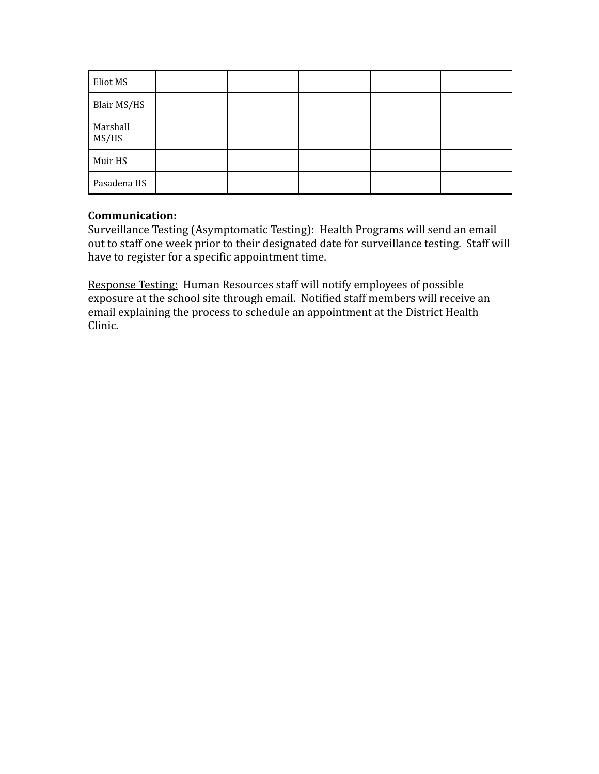| Eliot MS          |  |  |  |
|-------------------|--|--|--|
| Blair MS/HS       |  |  |  |
| Marshall<br>MS/HS |  |  |  |
| Muir HS           |  |  |  |
| Pasadena HS       |  |  |  |

#### **Communication:**

Surveillance Testing (Asymptomatic Testing): Health Programs will send an email out to staff one week prior to their designated date for surveillance testing. Staff will have to register for a specific appointment time.

Response Testing: Human Resources staff will notify employees of possible exposure at the school site through email. Notified staff members will receive an email explaining the process to schedule an appointment at the District Health Clinic.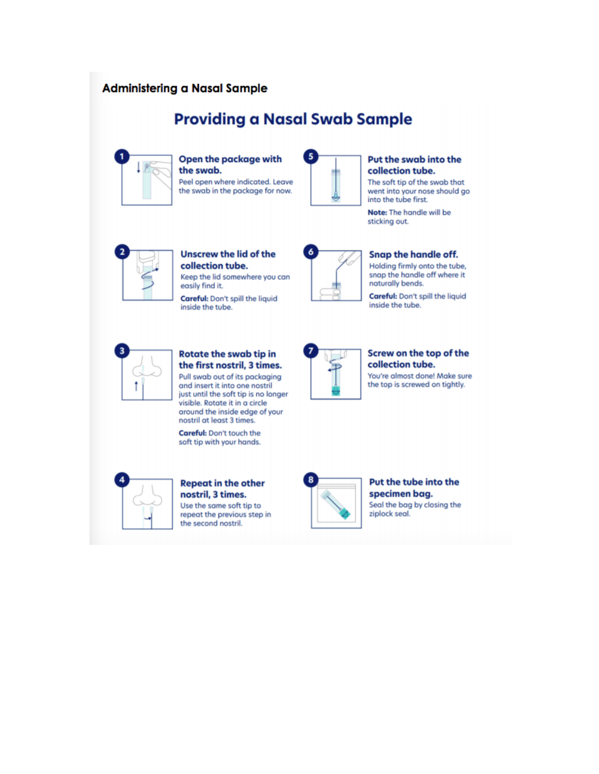#### **Administering a Nasal Sample**

# **Providing a Nasal Swab Sample**

**Open the package with** the swab. Peel open where indicated. Leave the swab in the package for now.



#### Put the swab into the collection tube.

The soft tip of the swab that went into your nose should go into the tube first.

Note: The handle will be sticking out.



**Unscrew the lid of the** collection tube. Keep the lid somewhere you can easily find it.

Careful: Don't spill the liquid inside the tube.



#### Snap the handle off. Holding firmly onto the tube,

snap the handle off where it naturally bends.

Careful: Don't spill the liquid inside the tube.



#### **Rotate the swab tip in** the first nostril, 3 times.

Pull swab out of its packaging and insert it into one nostril just until the soft tip is no longer visible. Rotate it in a circle around the inside edge of your nostril at least 3 times.

Careful: Don't touch the soft tip with your hands.



#### **Repeat in the other** nostril, 3 times. Use the same soft tip to repeat the previous step in the second nostril.



#### Screw on the top of the collection tube.

You're almost done! Make sure the top is screwed on tightly.



#### Put the tube into the specimen bag. Seal the bag by closing the ziplock seal.